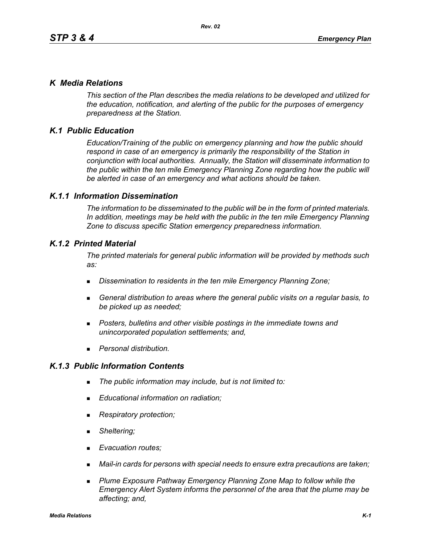## *K Media Relations*

*This section of the Plan describes the media relations to be developed and utilized for the education, notification, and alerting of the public for the purposes of emergency preparedness at the Station.*

# *K.1 Public Education*

*Education/Training of the public on emergency planning and how the public should respond in case of an emergency is primarily the responsibility of the Station in conjunction with local authorities. Annually, the Station will disseminate information to the public within the ten mile Emergency Planning Zone regarding how the public will be alerted in case of an emergency and what actions should be taken.* 

## *K.1.1 Information Dissemination*

*The information to be disseminated to the public will be in the form of printed materials. In addition, meetings may be held with the public in the ten mile Emergency Planning Zone to discuss specific Station emergency preparedness information.* 

## *K.1.2 Printed Material*

*The printed materials for general public information will be provided by methods such as:* 

- *Dissemination to residents in the ten mile Emergency Planning Zone;*
- *General distribution to areas where the general public visits on a regular basis, to be picked up as needed;*
- *Posters, bulletins and other visible postings in the immediate towns and unincorporated population settlements; and,*
- *Personal distribution.*

## *K.1.3 Public Information Contents*

- *The public information may include, but is not limited to:*
- *Educational information on radiation;*
- *Respiratory protection;*
- *Sheltering;*
- *Evacuation routes;*
- *Mail-in cards for persons with special needs to ensure extra precautions are taken;*
- **Plume Exposure Pathway Emergency Planning Zone Map to follow while the** *Emergency Alert System informs the personnel of the area that the plume may be affecting; and,*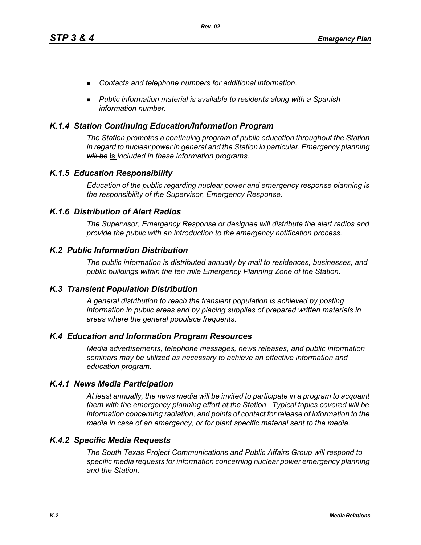- *Contacts and telephone numbers for additional information.*
- *Public information material is available to residents along with a Spanish information number.*

## *K.1.4 Station Continuing Education/Information Program*

*The Station promotes a continuing program of public education throughout the Station in regard to nuclear power in general and the Station in particular. Emergency planning will be* is *included in these information programs.* 

## *K.1.5 Education Responsibility*

*Education of the public regarding nuclear power and emergency response planning is the responsibility of the Supervisor, Emergency Response.* 

## *K.1.6 Distribution of Alert Radios*

*The Supervisor, Emergency Response or designee will distribute the alert radios and provide the public with an introduction to the emergency notification process.* 

## *K.2 Public Information Distribution*

*The public information is distributed annually by mail to residences, businesses, and public buildings within the ten mile Emergency Planning Zone of the Station.*

## *K.3 Transient Population Distribution*

*A general distribution to reach the transient population is achieved by posting information in public areas and by placing supplies of prepared written materials in areas where the general populace frequents.* 

## *K.4 Education and Information Program Resources*

*Media advertisements, telephone messages, news releases, and public information seminars may be utilized as necessary to achieve an effective information and education program.* 

## *K.4.1 News Media Participation*

*At least annually, the news media will be invited to participate in a program to acquaint them with the emergency planning effort at the Station. Typical topics covered will be information concerning radiation, and points of contact for release of information to the media in case of an emergency, or for plant specific material sent to the media.*

## *K.4.2 Specific Media Requests*

*The South Texas Project Communications and Public Affairs Group will respond to specific media requests for information concerning nuclear power emergency planning and the Station.*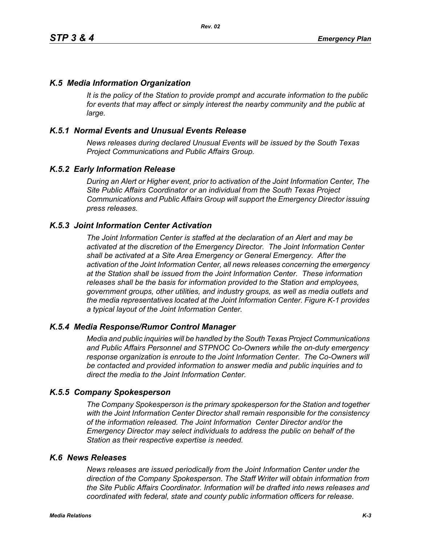## *K.5 Media Information Organization*

*It is the policy of the Station to provide prompt and accurate information to the public*  for events that may affect or simply interest the nearby community and the public at *large.* 

## *K.5.1 Normal Events and Unusual Events Release*

*News releases during declared Unusual Events will be issued by the South Texas Project Communications and Public Affairs Group.* 

## *K.5.2 Early Information Release*

*During an Alert or Higher event, prior to activation of the Joint Information Center, The Site Public Affairs Coordinator or an individual from the South Texas Project Communications and Public Affairs Group will support the Emergency Director issuing press releases.* 

## *K.5.3 Joint Information Center Activation*

*The Joint Information Center is staffed at the declaration of an Alert and may be activated at the discretion of the Emergency Director. The Joint Information Center shall be activated at a Site Area Emergency or General Emergency. After the activation of the Joint Information Center, all news releases concerning the emergency at the Station shall be issued from the Joint Information Center. These information releases shall be the basis for information provided to the Station and employees, government groups, other utilities, and industry groups, as well as media outlets and the media representatives located at the Joint Information Center. Figure K-1 provides a typical layout of the Joint Information Center.* 

## *K.5.4 Media Response/Rumor Control Manager*

*Media and public inquiries will be handled by the South Texas Project Communications and Public Affairs Personnel and STPNOC Co-Owners while the on-duty emergency response organization is enroute to the Joint Information Center. The Co-Owners will be contacted and provided information to answer media and public inquiries and to direct the media to the Joint Information Center.*

#### *K.5.5 Company Spokesperson*

*The Company Spokesperson is the primary spokesperson for the Station and together with the Joint Information Center Director shall remain responsible for the consistency of the information released. The Joint Information Center Director and/or the Emergency Director may select individuals to address the public on behalf of the Station as their respective expertise is needed.* 

#### *K.6 News Releases*

*News releases are issued periodically from the Joint Information Center under the direction of the Company Spokesperson. The Staff Writer will obtain information from the Site Public Affairs Coordinator. Information will be drafted into news releases and coordinated with federal, state and county public information officers for release.*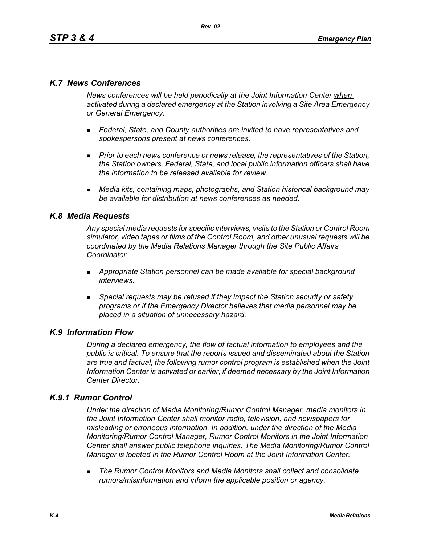## *K.7 News Conferences*

*News conferences will be held periodically at the Joint Information Center when activated during a declared emergency at the Station involving a Site Area Emergency or General Emergency.* 

- *Federal, State, and County authorities are invited to have representatives and spokespersons present at news conferences.*
- **Prior to each news conference or news release, the representatives of the Station,** *the Station owners, Federal, State, and local public information officers shall have the information to be released available for review.*
- *Media kits, containing maps, photographs, and Station historical background may be available for distribution at news conferences as needed.*

## *K.8 Media Requests*

*Any special media requests for specific interviews, visits to the Station or Control Room simulator, video tapes or films of the Control Room, and other unusual requests will be coordinated by the Media Relations Manager through the Site Public Affairs Coordinator.* 

- *Appropriate Station personnel can be made available for special background interviews.*
- *Special requests may be refused if they impact the Station security or safety programs or if the Emergency Director believes that media personnel may be placed in a situation of unnecessary hazard.*

## *K.9 Information Flow*

*During a declared emergency, the flow of factual information to employees and the public is critical. To ensure that the reports issued and disseminated about the Station are true and factual, the following rumor control program is established when the Joint Information Center is activated or earlier, if deemed necessary by the Joint Information Center Director.* 

## *K.9.1 Rumor Control*

*Under the direction of Media Monitoring/Rumor Control Manager, media monitors in the Joint Information Center shall monitor radio, television, and newspapers for misleading or erroneous information. In addition, under the direction of the Media Monitoring/Rumor Control Manager, Rumor Control Monitors in the Joint Information Center shall answer public telephone inquiries. The Media Monitoring/Rumor Control Manager is located in the Rumor Control Room at the Joint Information Center.* 

 *The Rumor Control Monitors and Media Monitors shall collect and consolidate rumors/misinformation and inform the applicable position or agency.*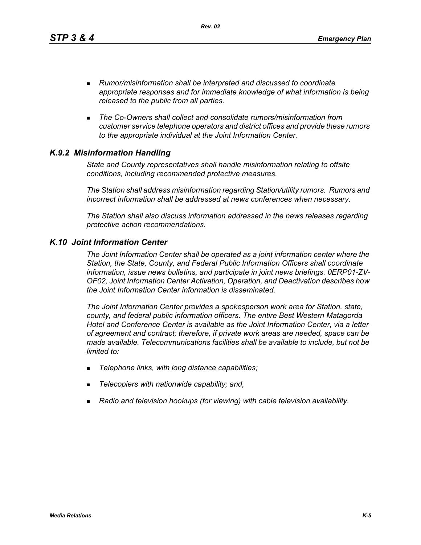*Rev. 02*

- *Rumor/misinformation shall be interpreted and discussed to coordinate appropriate responses and for immediate knowledge of what information is being released to the public from all parties.*
- *The Co-Owners shall collect and consolidate rumors/misinformation from customer service telephone operators and district offices and provide these rumors to the appropriate individual at the Joint Information Center.*

# *K.9.2 Misinformation Handling*

*State and County representatives shall handle misinformation relating to offsite conditions, including recommended protective measures.* 

*The Station shall address misinformation regarding Station/utility rumors. Rumors and incorrect information shall be addressed at news conferences when necessary.* 

*The Station shall also discuss information addressed in the news releases regarding protective action recommendations.* 

## *K.10 Joint Information Center*

*The Joint Information Center shall be operated as a joint information center where the Station, the State, County, and Federal Public Information Officers shall coordinate information, issue news bulletins, and participate in joint news briefings. 0ERP01-ZV-OF02, Joint Information Center Activation, Operation, and Deactivation describes how the Joint Information Center information is disseminated.*

*The Joint Information Center provides a spokesperson work area for Station, state, county, and federal public information officers. The entire Best Western Matagorda Hotel and Conference Center is available as the Joint Information Center, via a letter of agreement and contract; therefore, if private work areas are needed, space can be made available. Telecommunications facilities shall be available to include, but not be limited to:* 

- *Telephone links, with long distance capabilities;*
- *Telecopiers with nationwide capability; and,*
- *Radio and television hookups (for viewing) with cable television availability.*